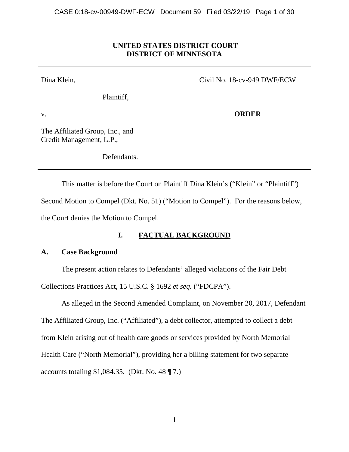# **UNITED STATES DISTRICT COURT DISTRICT OF MINNESOTA**

Dina Klein,

Civil No. 18-cv-949 DWF/ECW

Plaintiff,

v.

**ORDER** 

The Affiliated Group, Inc., and Credit Management, L.P.,

Defendants.

This matter is before the Court on Plaintiff Dina Klein's ("Klein" or "Plaintiff") Second Motion to Compel (Dkt. No. 51) ("Motion to Compel"). For the reasons below, the Court denies the Motion to Compel.

# **I. FACTUAL BACKGROUND**

# **A. Case Background**

The present action relates to Defendants' alleged violations of the Fair Debt

Collections Practices Act, 15 U.S.C. § 1692 *et seq.* ("FDCPA").

As alleged in the Second Amended Complaint, on November 20, 2017, Defendant The Affiliated Group, Inc. ("Affiliated"), a debt collector, attempted to collect a debt from Klein arising out of health care goods or services provided by North Memorial Health Care ("North Memorial"), providing her a billing statement for two separate accounts totaling \$1,084.35. (Dkt. No. 48  $\P$  7.)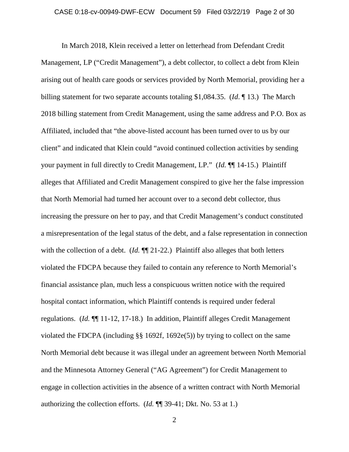In March 2018, Klein received a letter on letterhead from Defendant Credit Management, LP ("Credit Management"), a debt collector, to collect a debt from Klein arising out of health care goods or services provided by North Memorial, providing her a billing statement for two separate accounts totaling \$1,084.35. (*Id*. ¶ 13.) The March 2018 billing statement from Credit Management, using the same address and P.O. Box as Affiliated, included that "the above-listed account has been turned over to us by our client" and indicated that Klein could "avoid continued collection activities by sending your payment in full directly to Credit Management, LP." (*Id.* ¶¶ 14-15.) Plaintiff alleges that Affiliated and Credit Management conspired to give her the false impression that North Memorial had turned her account over to a second debt collector, thus increasing the pressure on her to pay, and that Credit Management's conduct constituted a misrepresentation of the legal status of the debt, and a false representation in connection with the collection of a debt. (*Id.*  $\P$  21-22.) Plaintiff also alleges that both letters violated the FDCPA because they failed to contain any reference to North Memorial's financial assistance plan, much less a conspicuous written notice with the required hospital contact information, which Plaintiff contends is required under federal regulations. (*Id.* ¶¶ 11-12, 17-18.) In addition, Plaintiff alleges Credit Management violated the FDCPA (including §§ 1692f, 1692e(5)) by trying to collect on the same North Memorial debt because it was illegal under an agreement between North Memorial and the Minnesota Attorney General ("AG Agreement") for Credit Management to engage in collection activities in the absence of a written contract with North Memorial authorizing the collection efforts. (*Id.* ¶¶ 39-41; Dkt. No. 53 at 1.)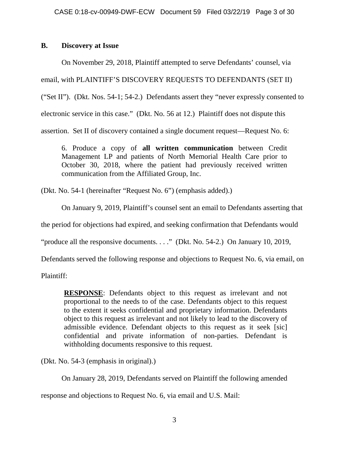# **B. Discovery at Issue**

On November 29, 2018, Plaintiff attempted to serve Defendants' counsel, via email, with PLAINTIFF'S DISCOVERY REQUESTS TO DEFENDANTS (SET II) ("Set II"). (Dkt. Nos. 54-1; 54-2.) Defendants assert they "never expressly consented to electronic service in this case." (Dkt. No. 56 at 12.) Plaintiff does not dispute this assertion. Set II of discovery contained a single document request—Request No. 6:

6. Produce a copy of **all written communication** between Credit Management LP and patients of North Memorial Health Care prior to October 30, 2018, where the patient had previously received written communication from the Affiliated Group, Inc.

(Dkt. No. 54-1 (hereinafter "Request No. 6") (emphasis added).)

On January 9, 2019, Plaintiff's counsel sent an email to Defendants asserting that

the period for objections had expired, and seeking confirmation that Defendants would

"produce all the responsive documents. . . ." (Dkt. No. 54-2.) On January 10, 2019,

Defendants served the following response and objections to Request No. 6, via email, on

Plaintiff:

**RESPONSE**: Defendants object to this request as irrelevant and not proportional to the needs to of the case. Defendants object to this request to the extent it seeks confidential and proprietary information. Defendants object to this request as irrelevant and not likely to lead to the discovery of admissible evidence. Defendant objects to this request as it seek [sic] confidential and private information of non-parties. Defendant is withholding documents responsive to this request.

(Dkt. No. 54-3 (emphasis in original).)

On January 28, 2019, Defendants served on Plaintiff the following amended

response and objections to Request No. 6, via email and U.S. Mail: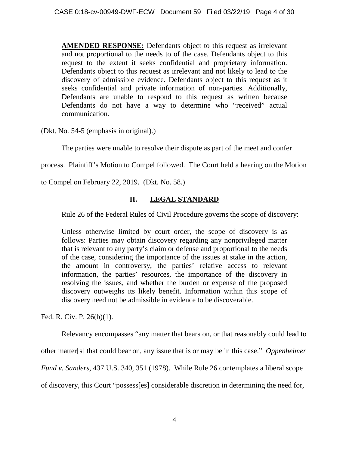**AMENDED RESPONSE:** Defendants object to this request as irrelevant and not proportional to the needs to of the case. Defendants object to this request to the extent it seeks confidential and proprietary information. Defendants object to this request as irrelevant and not likely to lead to the discovery of admissible evidence. Defendants object to this request as it seeks confidential and private information of non-parties. Additionally, Defendants are unable to respond to this request as written because Defendants do not have a way to determine who "received" actual communication.

(Dkt. No. 54-5 (emphasis in original).)

The parties were unable to resolve their dispute as part of the meet and confer

process. Plaintiff's Motion to Compel followed. The Court held a hearing on the Motion

to Compel on February 22, 2019. (Dkt. No. 58.)

# **II. LEGAL STANDARD**

Rule 26 of the Federal Rules of Civil Procedure governs the scope of discovery:

Unless otherwise limited by court order, the scope of discovery is as follows: Parties may obtain discovery regarding any nonprivileged matter that is relevant to any party's claim or defense and proportional to the needs of the case, considering the importance of the issues at stake in the action, the amount in controversy, the parties' relative access to relevant information, the parties' resources, the importance of the discovery in resolving the issues, and whether the burden or expense of the proposed discovery outweighs its likely benefit. Information within this scope of discovery need not be admissible in evidence to be discoverable.

Fed. R. Civ. P. 26(b)(1).

Relevancy encompasses "any matter that bears on, or that reasonably could lead to

other matter[s] that could bear on, any issue that is or may be in this case." *Oppenheimer* 

*Fund v. Sanders*, 437 U.S. 340, 351 (1978). While Rule 26 contemplates a liberal scope

of discovery, this Court "possess[es] considerable discretion in determining the need for,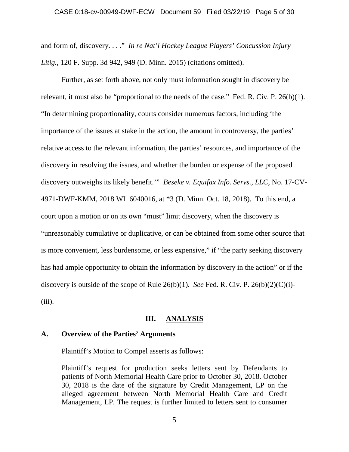#### CASE 0:18-cv-00949-DWF-ECW Document 59 Filed 03/22/19 Page 5 of 30

and form of, discovery. . . ." *In re Nat'l Hockey League Players' Concussion Injury Litig.*, 120 F. Supp. 3d 942, 949 (D. Minn. 2015) (citations omitted).

Further, as set forth above, not only must information sought in discovery be relevant, it must also be "proportional to the needs of the case." Fed. R. Civ. P. 26(b)(1). "In determining proportionality, courts consider numerous factors, including 'the importance of the issues at stake in the action, the amount in controversy, the parties' relative access to the relevant information, the parties' resources, and importance of the discovery in resolving the issues, and whether the burden or expense of the proposed discovery outweighs its likely benefit.'" *Beseke v. Equifax Info. Servs., LLC*, No. 17-CV-4971-DWF-KMM, 2018 WL 6040016, at \*3 (D. Minn. Oct. 18, 2018). To this end, a court upon a motion or on its own "must" limit discovery, when the discovery is "unreasonably cumulative or duplicative, or can be obtained from some other source that is more convenient, less burdensome, or less expensive," if "the party seeking discovery has had ample opportunity to obtain the information by discovery in the action" or if the discovery is outside of the scope of Rule  $26(b)(1)$ . *See* Fed. R. Civ. P.  $26(b)(2)(C)(i)$ - $(iii)$ .

# **III. ANALYSIS**

## **A. Overview of the Parties' Arguments**

Plaintiff's Motion to Compel asserts as follows:

Plaintiff's request for production seeks letters sent by Defendants to patients of North Memorial Health Care prior to October 30, 2018. October 30, 2018 is the date of the signature by Credit Management, LP on the alleged agreement between North Memorial Health Care and Credit Management, LP. The request is further limited to letters sent to consumer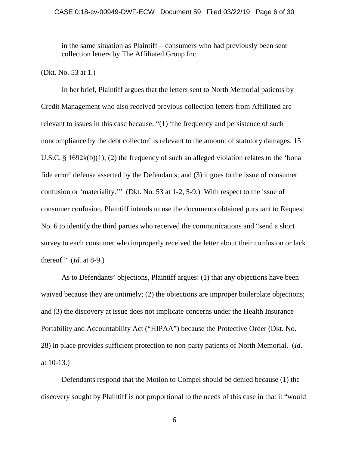### CASE 0:18-cv-00949-DWF-ECW Document 59 Filed 03/22/19 Page 6 of 30

in the same situation as Plaintiff – consumers who had previously been sent collection letters by The Affiliated Group Inc.

(Dkt. No. 53 at 1.)

In her brief, Plaintiff argues that the letters sent to North Memorial patients by Credit Management who also received previous collection letters from Affiliated are relevant to issues in this case because: "(1) 'the frequency and persistence of such noncompliance by the debt collector' is relevant to the amount of statutory damages. 15 U.S.C. § 1692k(b)(1); (2) the frequency of such an alleged violation relates to the 'bona fide error' defense asserted by the Defendants; and (3) it goes to the issue of consumer confusion or 'materiality.'" (Dkt. No. 53 at 1-2, 5-9.) With respect to the issue of consumer confusion, Plaintiff intends to use the documents obtained pursuant to Request No. 6 to identify the third parties who received the communications and "send a short survey to each consumer who improperly received the letter about their confusion or lack thereof." (*Id.* at 8-9.)

As to Defendants' objections, Plaintiff argues: (1) that any objections have been waived because they are untimely; (2) the objections are improper boilerplate objections; and (3) the discovery at issue does not implicate concerns under the Health Insurance Portability and Accountability Act ("HIPAA") because the Protective Order (Dkt. No. 28) in place provides sufficient protection to non-party patients of North Memorial. (*Id.* at 10-13.)

Defendants respond that the Motion to Compel should be denied because (1) the discovery sought by Plaintiff is not proportional to the needs of this case in that it "would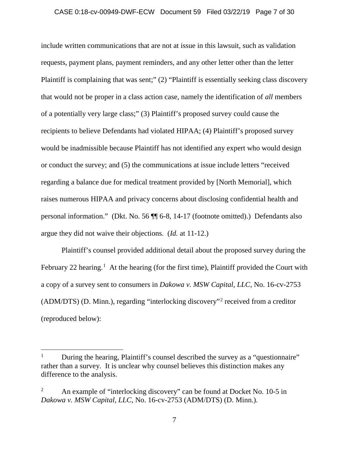### CASE 0:18-cv-00949-DWF-ECW Document 59 Filed 03/22/19 Page 7 of 30

include written communications that are not at issue in this lawsuit, such as validation requests, payment plans, payment reminders, and any other letter other than the letter Plaintiff is complaining that was sent;" (2) "Plaintiff is essentially seeking class discovery that would not be proper in a class action case, namely the identification of *all* members of a potentially very large class;" (3) Plaintiff's proposed survey could cause the recipients to believe Defendants had violated HIPAA; (4) Plaintiff's proposed survey would be inadmissible because Plaintiff has not identified any expert who would design or conduct the survey; and (5) the communications at issue include letters "received regarding a balance due for medical treatment provided by [North Memorial], which raises numerous HIPAA and privacy concerns about disclosing confidential health and personal information." (Dkt. No. 56 ¶¶ 6-8, 14-17 (footnote omitted).) Defendants also argue they did not waive their objections. (*Id.* at 11-12.)

Plaintiff's counsel provided additional detail about the proposed survey during the February 22 hearing.<sup>1</sup> At the hearing (for the first time), Plaintiff provided the Court with a copy of a survey sent to consumers in *Dakowa v. MSW Capital, LLC*, No. 16-cv-2753 (ADM/DTS) (D. Minn.), regarding "interlocking discovery"2 received from a creditor (reproduced below):

l

<sup>&</sup>lt;sup>1</sup> During the hearing, Plaintiff's counsel described the survey as a "questionnaire" rather than a survey. It is unclear why counsel believes this distinction makes any difference to the analysis.

<sup>&</sup>lt;sup>2</sup> An example of "interlocking discovery" can be found at Docket No. 10-5 in *Dakowa v. MSW Capital, LLC*, No. 16-cv-2753 (ADM/DTS) (D. Minn.).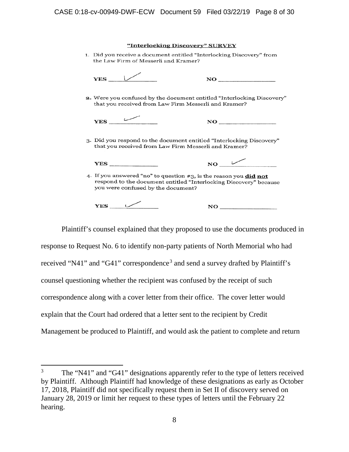| "Interlocking Discovery" SURVEY                                                                                                                                                     |                                              |
|-------------------------------------------------------------------------------------------------------------------------------------------------------------------------------------|----------------------------------------------|
| 1. Did you receive a document entitled "Interlocking Discovery" from<br>the Law Firm of Messerli and Kramer?                                                                        |                                              |
| $YES$ $\vee$                                                                                                                                                                        | $\bf NO$                                     |
| 2. Were you confused by the document entitled "Interlocking Discovery"<br>that you received from Law Firm Messerli and Kramer?                                                      |                                              |
| YES                                                                                                                                                                                 | <u> 1990 - Johann Barbara, martx</u><br>NO - |
| 3. Did you respond to the document entitled "Interlocking Discovery"<br>that you received from Law Firm Messerli and Kramer?                                                        |                                              |
| YES                                                                                                                                                                                 | $\bf NO$                                     |
| 4. If you answered "no" to question #3, is the reason you <b>did not</b><br>respond to the document entitled "Interlocking Discovery" because<br>you were confused by the document? |                                              |
| YES                                                                                                                                                                                 | NO                                           |

Plaintiff's counsel explained that they proposed to use the documents produced in response to Request No. 6 to identify non-party patients of North Memorial who had received "N41" and "G41" correspondence<sup>3</sup> and send a survey drafted by Plaintiff's counsel questioning whether the recipient was confused by the receipt of such correspondence along with a cover letter from their office. The cover letter would explain that the Court had ordered that a letter sent to the recipient by Credit Management be produced to Plaintiff, and would ask the patient to complete and return

 $\overline{\phantom{a}}$ 

<sup>3</sup> The "N41" and "G41" designations apparently refer to the type of letters received by Plaintiff. Although Plaintiff had knowledge of these designations as early as October 17, 2018, Plaintiff did not specifically request them in Set II of discovery served on January 28, 2019 or limit her request to these types of letters until the February 22 hearing.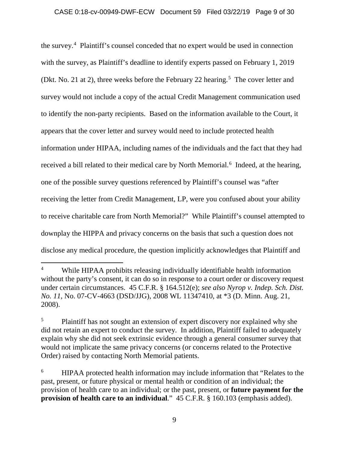the survey. 4 Plaintiff's counsel conceded that no expert would be used in connection with the survey, as Plaintiff's deadline to identify experts passed on February 1, 2019 (Dkt. No. 21 at 2), three weeks before the February 22 hearing.<sup>5</sup> The cover letter and survey would not include a copy of the actual Credit Management communication used to identify the non-party recipients. Based on the information available to the Court, it appears that the cover letter and survey would need to include protected health information under HIPAA, including names of the individuals and the fact that they had received a bill related to their medical care by North Memorial.<sup>6</sup> Indeed, at the hearing, one of the possible survey questions referenced by Plaintiff's counsel was "after receiving the letter from Credit Management, LP, were you confused about your ability to receive charitable care from North Memorial?" While Plaintiff's counsel attempted to downplay the HIPPA and privacy concerns on the basis that such a question does not disclose any medical procedure, the question implicitly acknowledges that Plaintiff and

l

<sup>4</sup> While HIPAA prohibits releasing individually identifiable health information without the party's consent, it can do so in response to a court order or discovery request under certain circumstances. 45 C.F.R. § 164.512(e); *see also Nyrop v. Indep. Sch. Dist. No. 11*, No. 07-CV-4663 (DSD/JJG), 2008 WL 11347410, at \*3 (D. Minn. Aug. 21, 2008).

<sup>&</sup>lt;sup>5</sup> Plaintiff has not sought an extension of expert discovery nor explained why she did not retain an expert to conduct the survey. In addition, Plaintiff failed to adequately explain why she did not seek extrinsic evidence through a general consumer survey that would not implicate the same privacy concerns (or concerns related to the Protective Order) raised by contacting North Memorial patients.

<sup>&</sup>lt;sup>6</sup> HIPAA protected health information may include information that "Relates to the past, present, or future physical or mental health or condition of an individual; the provision of health care to an individual; or the past, present, or **future payment for the provision of health care to an individual**." 45 C.F.R. § 160.103 (emphasis added).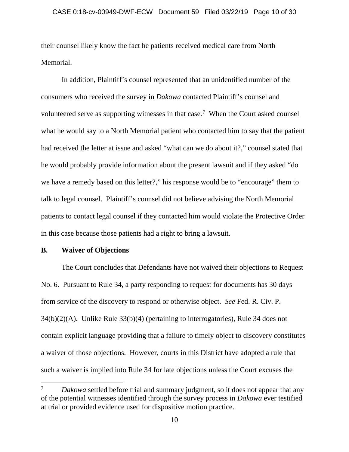their counsel likely know the fact he patients received medical care from North Memorial.

In addition, Plaintiff's counsel represented that an unidentified number of the consumers who received the survey in *Dakowa* contacted Plaintiff's counsel and volunteered serve as supporting witnesses in that case.<sup>7</sup> When the Court asked counsel what he would say to a North Memorial patient who contacted him to say that the patient had received the letter at issue and asked "what can we do about it?," counsel stated that he would probably provide information about the present lawsuit and if they asked "do we have a remedy based on this letter?," his response would be to "encourage" them to talk to legal counsel. Plaintiff's counsel did not believe advising the North Memorial patients to contact legal counsel if they contacted him would violate the Protective Order in this case because those patients had a right to bring a lawsuit.

## **B. Waiver of Objections**

l

The Court concludes that Defendants have not waived their objections to Request No. 6. Pursuant to Rule 34, a party responding to request for documents has 30 days from service of the discovery to respond or otherwise object. *See* Fed. R. Civ. P. 34(b)(2)(A). Unlike Rule 33(b)(4) (pertaining to interrogatories), Rule 34 does not contain explicit language providing that a failure to timely object to discovery constitutes a waiver of those objections. However, courts in this District have adopted a rule that such a waiver is implied into Rule 34 for late objections unless the Court excuses the

<sup>&</sup>lt;sup>7</sup> *Dakowa* settled before trial and summary judgment, so it does not appear that any of the potential witnesses identified through the survey process in *Dakowa* ever testified at trial or provided evidence used for dispositive motion practice.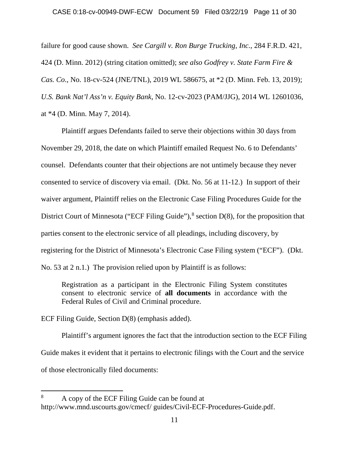### CASE 0:18-cv-00949-DWF-ECW Document 59 Filed 03/22/19 Page 11 of 30

failure for good cause shown. *See Cargill v. Ron Burge Trucking, Inc.*, 284 F.R.D. 421, 424 (D. Minn. 2012) (string citation omitted); *see also Godfrey v. State Farm Fire & Cas. Co*., No. 18-cv-524 (JNE/TNL), 2019 WL 586675, at \*2 (D. Minn. Feb. 13, 2019); *U.S. Bank Nat'l Ass'n v. Equity Bank*, No. 12-cv-2023 (PAM/JJG), 2014 WL 12601036, at \*4 (D. Minn. May 7, 2014).

Plaintiff argues Defendants failed to serve their objections within 30 days from November 29, 2018, the date on which Plaintiff emailed Request No. 6 to Defendants' counsel. Defendants counter that their objections are not untimely because they never consented to service of discovery via email. (Dkt. No. 56 at 11-12.) In support of their waiver argument, Plaintiff relies on the Electronic Case Filing Procedures Guide for the District Court of Minnesota ("ECF Filing Guide"),<sup>8</sup> section D(8), for the proposition that parties consent to the electronic service of all pleadings, including discovery, by registering for the District of Minnesota's Electronic Case Filing system ("ECF"). (Dkt. No. 53 at 2 n.1.) The provision relied upon by Plaintiff is as follows:

Registration as a participant in the Electronic Filing System constitutes consent to electronic service of **all documents** in accordance with the Federal Rules of Civil and Criminal procedure.

ECF Filing Guide, Section D(8) (emphasis added).

l

Plaintiff's argument ignores the fact that the introduction section to the ECF Filing Guide makes it evident that it pertains to electronic filings with the Court and the service of those electronically filed documents:

<sup>8</sup> A copy of the ECF Filing Guide can be found at http://www.mnd.uscourts.gov/cmecf/ guides/Civil-ECF-Procedures-Guide.pdf.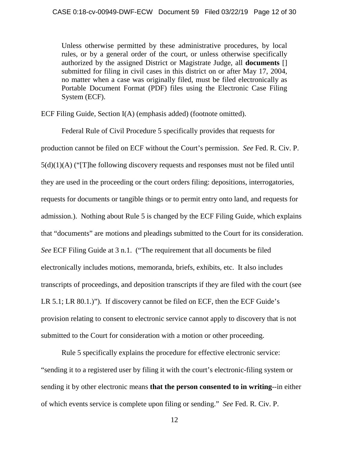Unless otherwise permitted by these administrative procedures, by local rules, or by a general order of the court, or unless otherwise specifically authorized by the assigned District or Magistrate Judge, all **documents** [] submitted for filing in civil cases in this district on or after May 17, 2004, no matter when a case was originally filed, must be filed electronically as Portable Document Format (PDF) files using the Electronic Case Filing System (ECF).

ECF Filing Guide, Section I(A) (emphasis added) (footnote omitted).

Federal Rule of Civil Procedure 5 specifically provides that requests for production cannot be filed on ECF without the Court's permission. *See* Fed. R. Civ. P. 5(d)(1)(A) ("[T]he following discovery requests and responses must not be filed until they are used in the proceeding or the court orders filing: depositions, interrogatories, requests for documents or tangible things or to permit entry onto land, and requests for admission.). Nothing about Rule 5 is changed by the ECF Filing Guide, which explains that "documents" are motions and pleadings submitted to the Court for its consideration. *See* ECF Filing Guide at 3 n.1. ("The requirement that all documents be filed electronically includes motions, memoranda, briefs, exhibits, etc. It also includes transcripts of proceedings, and deposition transcripts if they are filed with the court (see LR 5.1; LR 80.1.)"). If discovery cannot be filed on ECF, then the ECF Guide's provision relating to consent to electronic service cannot apply to discovery that is not submitted to the Court for consideration with a motion or other proceeding.

Rule 5 specifically explains the procedure for effective electronic service: "sending it to a registered user by filing it with the court's electronic-filing system or sending it by other electronic means **that the person consented to in writing**--in either of which events service is complete upon filing or sending." *See* Fed. R. Civ. P.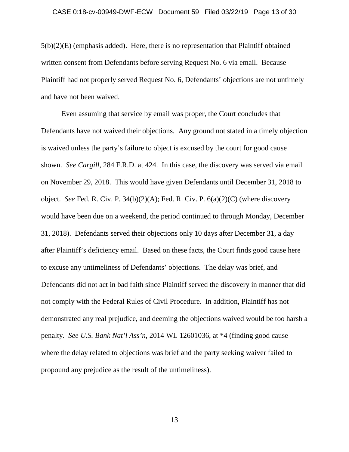### CASE 0:18-cv-00949-DWF-ECW Document 59 Filed 03/22/19 Page 13 of 30

 $5(b)(2)(E)$  (emphasis added). Here, there is no representation that Plaintiff obtained written consent from Defendants before serving Request No. 6 via email. Because Plaintiff had not properly served Request No. 6, Defendants' objections are not untimely and have not been waived.

Even assuming that service by email was proper, the Court concludes that Defendants have not waived their objections. Any ground not stated in a timely objection is waived unless the party's failure to object is excused by the court for good cause shown. *See Cargill*, 284 F.R.D. at 424. In this case, the discovery was served via email on November 29, 2018. This would have given Defendants until December 31, 2018 to object. *See* Fed. R. Civ. P. 34(b)(2)(A); Fed. R. Civ. P. 6(a)(2)(C) (where discovery would have been due on a weekend, the period continued to through Monday, December 31, 2018). Defendants served their objections only 10 days after December 31, a day after Plaintiff's deficiency email. Based on these facts, the Court finds good cause here to excuse any untimeliness of Defendants' objections. The delay was brief, and Defendants did not act in bad faith since Plaintiff served the discovery in manner that did not comply with the Federal Rules of Civil Procedure. In addition, Plaintiff has not demonstrated any real prejudice, and deeming the objections waived would be too harsh a penalty. *See U.S. Bank Nat'l Ass'n,* 2014 WL 12601036, at \*4 (finding good cause where the delay related to objections was brief and the party seeking waiver failed to propound any prejudice as the result of the untimeliness).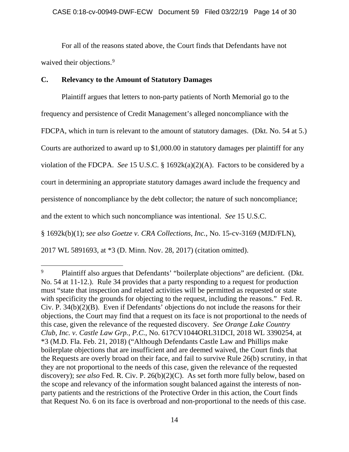### CASE 0:18-cv-00949-DWF-ECW Document 59 Filed 03/22/19 Page 14 of 30

For all of the reasons stated above, the Court finds that Defendants have not waived their objections.<sup>9</sup>

# **C. Relevancy to the Amount of Statutory Damages**

 $\overline{\phantom{a}}$ 

Plaintiff argues that letters to non-party patients of North Memorial go to the frequency and persistence of Credit Management's alleged noncompliance with the FDCPA, which in turn is relevant to the amount of statutory damages. (Dkt. No. 54 at 5.) Courts are authorized to award up to \$1,000.00 in statutory damages per plaintiff for any violation of the FDCPA. *See* 15 U.S.C. § 1692k(a)(2)(A). Factors to be considered by a court in determining an appropriate statutory damages award include the frequency and persistence of noncompliance by the debt collector; the nature of such noncompliance; and the extent to which such noncompliance was intentional. *See* 15 U.S.C. § 1692k(b)(1); *see also Goetze v. CRA Collections, Inc.*, No. 15-cv-3169 (MJD/FLN), 2017 WL 5891693, at \*3 (D. Minn. Nov. 28, 2017) (citation omitted).

<sup>&</sup>lt;sup>9</sup> Plaintiff also argues that Defendants' "boilerplate objections" are deficient. (Dkt. No. 54 at 11-12.). Rule 34 provides that a party responding to a request for production must "state that inspection and related activities will be permitted as requested or state with specificity the grounds for objecting to the request, including the reasons." Fed. R. Civ. P. 34(b)(2)(B). Even if Defendants' objections do not include the reasons for their objections, the Court may find that a request on its face is not proportional to the needs of this case, given the relevance of the requested discovery. *See Orange Lake Country Club, Inc. v. Castle Law Grp., P.C.*, No. 617CV1044ORL31DCI, 2018 WL 3390254, at \*3 (M.D. Fla. Feb. 21, 2018) ("Although Defendants Castle Law and Phillips make boilerplate objections that are insufficient and are deemed waived, the Court finds that the Requests are overly broad on their face, and fail to survive Rule 26(b) scrutiny, in that they are not proportional to the needs of this case, given the relevance of the requested discovery); *see also* Fed. R. Civ. P. 26(b)(2)(C). As set forth more fully below, based on the scope and relevancy of the information sought balanced against the interests of nonparty patients and the restrictions of the Protective Order in this action, the Court finds that Request No. 6 on its face is overbroad and non-proportional to the needs of this case.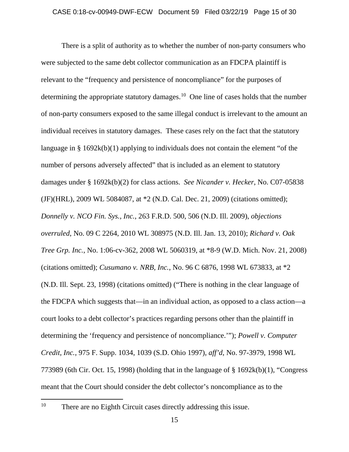There is a split of authority as to whether the number of non-party consumers who were subjected to the same debt collector communication as an FDCPA plaintiff is relevant to the "frequency and persistence of noncompliance" for the purposes of determining the appropriate statutory damages.<sup>10</sup> One line of cases holds that the number of non-party consumers exposed to the same illegal conduct is irrelevant to the amount an individual receives in statutory damages. These cases rely on the fact that the statutory language in § 1692k(b)(1) applying to individuals does not contain the element "of the number of persons adversely affected" that is included as an element to statutory damages under § 1692k(b)(2) for class actions. *See Nicander v. Hecker*, No. C07-05838 (JF)(HRL), 2009 WL 5084087, at \*2 (N.D. Cal. Dec. 21, 2009) (citations omitted); *Donnelly v. NCO Fin. Sys., Inc.*, 263 F.R.D. 500, 506 (N.D. Ill. 2009), *objections overruled*, No. 09 C 2264, 2010 WL 308975 (N.D. Ill. Jan. 13, 2010); *Richard v. Oak Tree Grp. Inc.*, No. 1:06-cv-362, 2008 WL 5060319, at \*8-9 (W.D. Mich. Nov. 21, 2008) (citations omitted); *Cusumano v. NRB, Inc.*, No. 96 C 6876, 1998 WL 673833, at \*2 (N.D. Ill. Sept. 23, 1998) (citations omitted) ("There is nothing in the clear language of the FDCPA which suggests that—in an individual action, as opposed to a class action—a court looks to a debt collector's practices regarding persons other than the plaintiff in determining the 'frequency and persistence of noncompliance.'"); *Powell v. Computer Credit, Inc.*, 975 F. Supp. 1034, 1039 (S.D. Ohio 1997), *aff'd*, No. 97-3979, 1998 WL 773989 (6th Cir. Oct. 15, 1998) (holding that in the language of § 1692k(b)(1), "Congress meant that the Court should consider the debt collector's noncompliance as to the

l

<sup>&</sup>lt;sup>10</sup> There are no Eighth Circuit cases directly addressing this issue.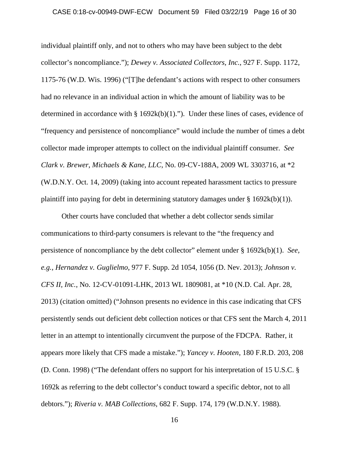### CASE 0:18-cv-00949-DWF-ECW Document 59 Filed 03/22/19 Page 16 of 30

individual plaintiff only, and not to others who may have been subject to the debt collector's noncompliance."); *Dewey v. Associated Collectors, Inc.*, 927 F. Supp. 1172, 1175-76 (W.D. Wis. 1996) ("[T]he defendant's actions with respect to other consumers had no relevance in an individual action in which the amount of liability was to be determined in accordance with  $\S$  1692k(b)(1)."). Under these lines of cases, evidence of "frequency and persistence of noncompliance" would include the number of times a debt collector made improper attempts to collect on the individual plaintiff consumer. *See Clark v. Brewer, Michaels & Kane, LLC*, No. 09-CV-188A, 2009 WL 3303716, at \*2 (W.D.N.Y. Oct. 14, 2009) (taking into account repeated harassment tactics to pressure plaintiff into paying for debt in determining statutory damages under  $\S 1692k(b)(1)$ .

Other courts have concluded that whether a debt collector sends similar communications to third-party consumers is relevant to the "the frequency and persistence of noncompliance by the debt collector" element under § 1692k(b)(1). *See, e.g., Hernandez v. Guglielmo*, 977 F. Supp. 2d 1054, 1056 (D. Nev. 2013); *Johnson v. CFS II, Inc.*, No. 12-CV-01091-LHK, 2013 WL 1809081, at \*10 (N.D. Cal. Apr. 28, 2013) (citation omitted) ("Johnson presents no evidence in this case indicating that CFS persistently sends out deficient debt collection notices or that CFS sent the March 4, 2011 letter in an attempt to intentionally circumvent the purpose of the FDCPA. Rather, it appears more likely that CFS made a mistake."); *Yancey v. Hooten*, 180 F.R.D. 203, 208 (D. Conn. 1998) ("The defendant offers no support for his interpretation of 15 U.S.C. § 1692k as referring to the debt collector's conduct toward a specific debtor, not to all debtors."); *Riveria v. MAB Collections*, 682 F. Supp. 174, 179 (W.D.N.Y. 1988).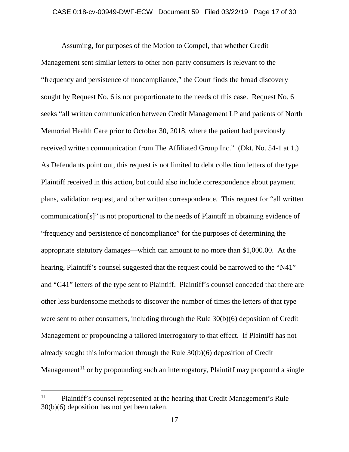Assuming, for purposes of the Motion to Compel, that whether Credit Management sent similar letters to other non-party consumers is relevant to the "frequency and persistence of noncompliance," the Court finds the broad discovery sought by Request No. 6 is not proportionate to the needs of this case. Request No. 6 seeks "all written communication between Credit Management LP and patients of North Memorial Health Care prior to October 30, 2018, where the patient had previously received written communication from The Affiliated Group Inc." (Dkt. No. 54-1 at 1.) As Defendants point out, this request is not limited to debt collection letters of the type Plaintiff received in this action, but could also include correspondence about payment plans, validation request, and other written correspondence. This request for "all written communication[s]" is not proportional to the needs of Plaintiff in obtaining evidence of "frequency and persistence of noncompliance" for the purposes of determining the appropriate statutory damages—which can amount to no more than \$1,000.00. At the hearing, Plaintiff's counsel suggested that the request could be narrowed to the "N41" and "G41" letters of the type sent to Plaintiff. Plaintiff's counsel conceded that there are other less burdensome methods to discover the number of times the letters of that type were sent to other consumers, including through the Rule 30(b)(6) deposition of Credit Management or propounding a tailored interrogatory to that effect. If Plaintiff has not already sought this information through the Rule 30(b)(6) deposition of Credit Management<sup>11</sup> or by propounding such an interrogatory, Plaintiff may propound a single

l

<sup>&</sup>lt;sup>11</sup> Plaintiff's counsel represented at the hearing that Credit Management's Rule 30(b)(6) deposition has not yet been taken.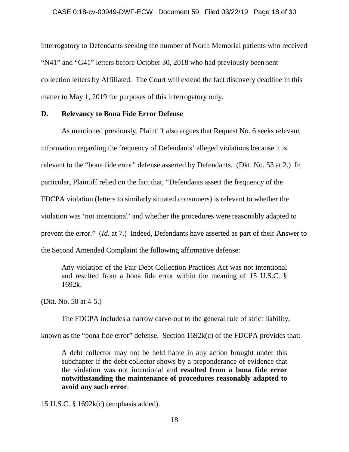interrogatory to Defendants seeking the number of North Memorial patients who received "N41" and "G41" letters before October 30, 2018 who had previously been sent collection letters by Affiliated. The Court will extend the fact discovery deadline in this matter to May 1, 2019 for purposes of this interrogatory only.

# **D. Relevancy to Bona Fide Error Defense**

As mentioned previously, Plaintiff also argues that Request No. 6 seeks relevant information regarding the frequency of Defendants' alleged violations because it is relevant to the "bona fide error" defense asserted by Defendants. (Dkt. No. 53 at 2.) In particular, Plaintiff relied on the fact that, "Defendants assert the frequency of the FDCPA violation (letters to similarly situated consumers) is relevant to whether the violation was 'not intentional' and whether the procedures were reasonably adapted to prevent the error." (*Id.* at 7.) Indeed, Defendants have asserted as part of their Answer to the Second Amended Complaint the following affirmative defense:

Any violation of the Fair Debt Collection Practices Act was not intentional and resulted from a bona fide error within the meaning of 15 U.S.C. § 1692k.

(Dkt. No. 50 at 4-5.)

The FDCPA includes a narrow carve-out to the general rule of strict liability,

known as the "bona fide error" defense. Section 1692k(c) of the FDCPA provides that:

A debt collector may not be held liable in any action brought under this subchapter if the debt collector shows by a preponderance of evidence that the violation was not intentional and **resulted from a bona fide error notwithstanding the maintenance of procedures reasonably adapted to avoid any such error**.

15 U.S.C. § 1692k(c) (emphasis added).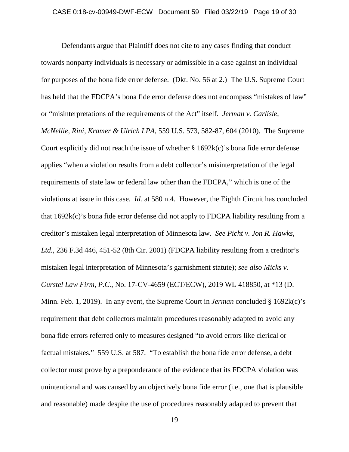Defendants argue that Plaintiff does not cite to any cases finding that conduct towards nonparty individuals is necessary or admissible in a case against an individual for purposes of the bona fide error defense. (Dkt. No. 56 at 2.) The U.S. Supreme Court has held that the FDCPA's bona fide error defense does not encompass "mistakes of law" or "misinterpretations of the requirements of the Act" itself. *Jerman v. Carlisle, McNellie, Rini, Kramer & Ulrich LPA*, 559 U.S. 573, 582-87, 604 (2010). The Supreme Court explicitly did not reach the issue of whether  $\S 1692k(c)$ 's bona fide error defense applies "when a violation results from a debt collector's misinterpretation of the legal requirements of state law or federal law other than the FDCPA," which is one of the violations at issue in this case. *Id.* at 580 n.4. However, the Eighth Circuit has concluded that 1692k(c)'s bona fide error defense did not apply to FDCPA liability resulting from a creditor's mistaken legal interpretation of Minnesota law. *See Picht v. Jon R. Hawks, Ltd.*, 236 F.3d 446, 451-52 (8th Cir. 2001) (FDCPA liability resulting from a creditor's mistaken legal interpretation of Minnesota's garnishment statute); *see also Micks v. Gurstel Law Firm, P.C.*, No. 17-CV-4659 (ECT/ECW), 2019 WL 418850, at \*13 (D. Minn. Feb. 1, 2019). In any event, the Supreme Court in *Jerman* concluded § 1692k(c)'s requirement that debt collectors maintain procedures reasonably adapted to avoid any bona fide errors referred only to measures designed "to avoid errors like clerical or factual mistakes." 559 U.S. at 587. "To establish the bona fide error defense, a debt collector must prove by a preponderance of the evidence that its FDCPA violation was unintentional and was caused by an objectively bona fide error (i.e., one that is plausible and reasonable) made despite the use of procedures reasonably adapted to prevent that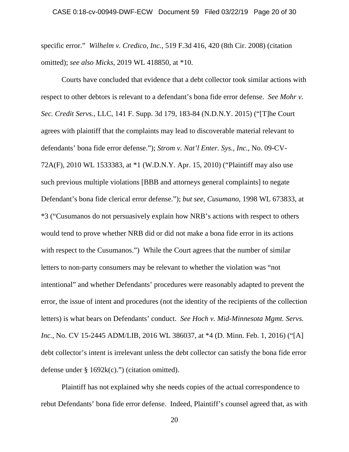specific error." *Wilhelm v. Credico, Inc.*, 519 F.3d 416, 420 (8th Cir. 2008) (citation omitted); *see also Micks*, 2019 WL 418850, at \*10.

Courts have concluded that evidence that a debt collector took similar actions with respect to other debtors is relevant to a defendant's bona fide error defense. *See Mohr v. Sec. Credit Servs.*, LLC, 141 F. Supp. 3d 179, 183-84 (N.D.N.Y. 2015) ("[T]he Court agrees with plaintiff that the complaints may lead to discoverable material relevant to defendants' bona fide error defense."); *Strom v. Nat'l Enter. Sys., Inc.*, No. 09-CV-72A(F), 2010 WL 1533383, at \*1 (W.D.N.Y. Apr. 15, 2010) ("Plaintiff may also use such previous multiple violations [BBB and attorneys general complaints] to negate Defendant's bona fide clerical error defense."); *but see*, *Cusumano*, 1998 WL 673833, at \*3 ("Cusumanos do not persuasively explain how NRB's actions with respect to others would tend to prove whether NRB did or did not make a bona fide error in its actions with respect to the Cusumanos.") While the Court agrees that the number of similar letters to non-party consumers may be relevant to whether the violation was "not intentional" and whether Defendants' procedures were reasonably adapted to prevent the error, the issue of intent and procedures (not the identity of the recipients of the collection letters) is what bears on Defendants' conduct. *See Hoch v. Mid-Minnesota Mgmt. Servs. Inc.*, No. CV 15-2445 ADM/LIB, 2016 WL 386037, at  $*4$  (D. Minn. Feb. 1, 2016) ("[A] debt collector's intent is irrelevant unless the debt collector can satisfy the bona fide error defense under  $\S 1692k(c)$ .") (citation omitted).

Plaintiff has not explained why she needs copies of the actual correspondence to rebut Defendants' bona fide error defense. Indeed, Plaintiff's counsel agreed that, as with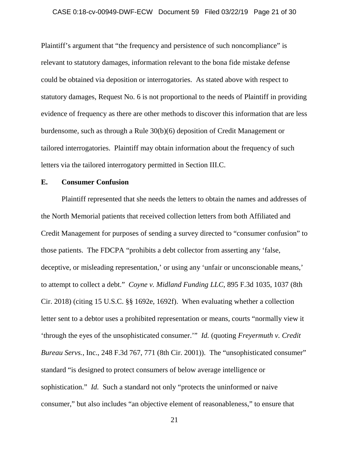### CASE 0:18-cv-00949-DWF-ECW Document 59 Filed 03/22/19 Page 21 of 30

Plaintiff's argument that "the frequency and persistence of such noncompliance" is relevant to statutory damages, information relevant to the bona fide mistake defense could be obtained via deposition or interrogatories. As stated above with respect to statutory damages, Request No. 6 is not proportional to the needs of Plaintiff in providing evidence of frequency as there are other methods to discover this information that are less burdensome, such as through a Rule 30(b)(6) deposition of Credit Management or tailored interrogatories. Plaintiff may obtain information about the frequency of such letters via the tailored interrogatory permitted in Section III.C.

### **E. Consumer Confusion**

Plaintiff represented that she needs the letters to obtain the names and addresses of the North Memorial patients that received collection letters from both Affiliated and Credit Management for purposes of sending a survey directed to "consumer confusion" to those patients. The FDCPA "prohibits a debt collector from asserting any 'false, deceptive, or misleading representation,' or using any 'unfair or unconscionable means,' to attempt to collect a debt." *Coyne v. Midland Funding LLC*, 895 F.3d 1035, 1037 (8th Cir. 2018) (citing 15 U.S.C. §§ 1692e, 1692f). When evaluating whether a collection letter sent to a debtor uses a prohibited representation or means, courts "normally view it 'through the eyes of the unsophisticated consumer.'" *Id.* (quoting *Freyermuth v. Credit Bureau Servs.*, Inc., 248 F.3d 767, 771 (8th Cir. 2001)). The "unsophisticated consumer" standard "is designed to protect consumers of below average intelligence or sophistication." *Id.* Such a standard not only "protects the uninformed or naive consumer," but also includes "an objective element of reasonableness," to ensure that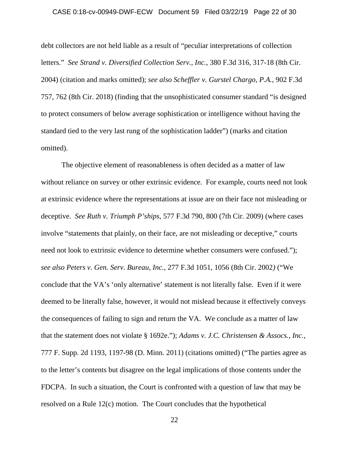### CASE 0:18-cv-00949-DWF-ECW Document 59 Filed 03/22/19 Page 22 of 30

debt collectors are not held liable as a result of "peculiar interpretations of collection letters." *See Strand v. Diversified Collection Serv., Inc.*, 380 F.3d 316, 317-18 (8th Cir. 2004) (citation and marks omitted); *see also Scheffler v. Gurstel Chargo, P.A.*, 902 F.3d 757, 762 (8th Cir. 2018) (finding that the unsophisticated consumer standard "is designed to protect consumers of below average sophistication or intelligence without having the standard tied to the very last rung of the sophistication ladder") (marks and citation omitted).

The objective element of reasonableness is often decided as a matter of law without reliance on survey or other extrinsic evidence. For example, courts need not look at extrinsic evidence where the representations at issue are on their face not misleading or deceptive. *See Ruth v. Triumph P'ships*, 577 F.3d 790, 800 (7th Cir. 2009) (where cases involve "statements that plainly, on their face, are not misleading or deceptive," courts need not look to extrinsic evidence to determine whether consumers were confused."); *see also Peters v. Gen. Serv. Bureau, Inc.*, 277 F.3d 1051, 1056 (8th Cir. 2002*)* ("We conclude that the VA's 'only alternative' statement is not literally false. Even if it were deemed to be literally false, however, it would not mislead because it effectively conveys the consequences of failing to sign and return the VA. We conclude as a matter of law that the statement does not violate § 1692e."); *Adams v. J.C. Christensen & Assocs., Inc.*, 777 F. Supp. 2d 1193, 1197-98 (D. Minn. 2011) (citations omitted) ("The parties agree as to the letter's contents but disagree on the legal implications of those contents under the FDCPA. In such a situation, the Court is confronted with a question of law that may be resolved on a Rule 12(c) motion. The Court concludes that the hypothetical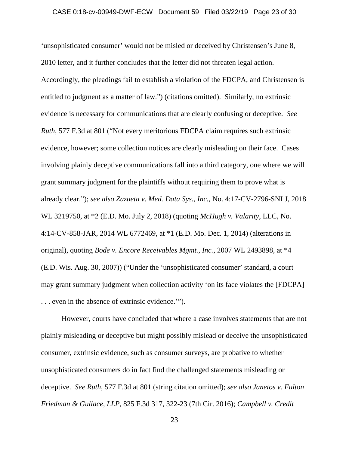### CASE 0:18-cv-00949-DWF-ECW Document 59 Filed 03/22/19 Page 23 of 30

'unsophisticated consumer' would not be misled or deceived by Christensen's June 8, 2010 letter, and it further concludes that the letter did not threaten legal action. Accordingly, the pleadings fail to establish a violation of the FDCPA, and Christensen is entitled to judgment as a matter of law.") (citations omitted). Similarly, no extrinsic evidence is necessary for communications that are clearly confusing or deceptive. *See Ruth*, 577 F.3d at 801 ("Not every meritorious FDCPA claim requires such extrinsic evidence, however; some collection notices are clearly misleading on their face. Cases involving plainly deceptive communications fall into a third category, one where we will grant summary judgment for the plaintiffs without requiring them to prove what is already clear."); *see also Zazueta v. Med. Data Sys., Inc.*, No. 4:17-CV-2796-SNLJ, 2018 WL 3219750, at \*2 (E.D. Mo. July 2, 2018) (quoting *McHugh v. Valarity*, LLC, No. 4:14-CV-858-JAR, 2014 WL 6772469, at \*1 (E.D. Mo. Dec. 1, 2014) (alterations in original), quoting *Bode v. Encore Receivables Mgmt., Inc.*, 2007 WL 2493898, at \*4 (E.D. Wis. Aug. 30, 2007)) ("Under the 'unsophisticated consumer' standard, a court may grant summary judgment when collection activity 'on its face violates the [FDCPA] . . . even in the absence of extrinsic evidence.'").

However, courts have concluded that where a case involves statements that are not plainly misleading or deceptive but might possibly mislead or deceive the unsophisticated consumer, extrinsic evidence, such as consumer surveys, are probative to whether unsophisticated consumers do in fact find the challenged statements misleading or deceptive. *See Ruth*, 577 F.3d at 801 (string citation omitted); *see also Janetos v. Fulton Friedman & Gullace, LLP*, 825 F.3d 317, 322-23 (7th Cir. 2016); *Campbell v. Credit*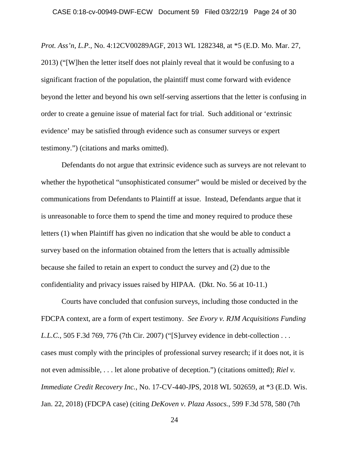*Prot. Ass'n, L.P.*, No. 4:12CV00289AGF, 2013 WL 1282348, at \*5 (E.D. Mo. Mar. 27, 2013) ("[W]hen the letter itself does not plainly reveal that it would be confusing to a significant fraction of the population, the plaintiff must come forward with evidence beyond the letter and beyond his own self-serving assertions that the letter is confusing in order to create a genuine issue of material fact for trial. Such additional or 'extrinsic evidence' may be satisfied through evidence such as consumer surveys or expert testimony.") (citations and marks omitted).

Defendants do not argue that extrinsic evidence such as surveys are not relevant to whether the hypothetical "unsophisticated consumer" would be misled or deceived by the communications from Defendants to Plaintiff at issue. Instead, Defendants argue that it is unreasonable to force them to spend the time and money required to produce these letters (1) when Plaintiff has given no indication that she would be able to conduct a survey based on the information obtained from the letters that is actually admissible because she failed to retain an expert to conduct the survey and (2) due to the confidentiality and privacy issues raised by HIPAA. (Dkt. No. 56 at 10-11.)

Courts have concluded that confusion surveys, including those conducted in the FDCPA context, are a form of expert testimony. *See Evory v. RJM Acquisitions Funding L.L.C.*, 505 F.3d 769, 776 (7th Cir. 2007) ("[S]urvey evidence in debt-collection . . . cases must comply with the principles of professional survey research; if it does not, it is not even admissible, . . . let alone probative of deception.") (citations omitted); *Riel v. Immediate Credit Recovery Inc.*, No. 17-CV-440-JPS, 2018 WL 502659, at \*3 (E.D. Wis. Jan. 22, 2018) (FDCPA case) (citing *DeKoven v. Plaza Assocs.*, 599 F.3d 578, 580 (7th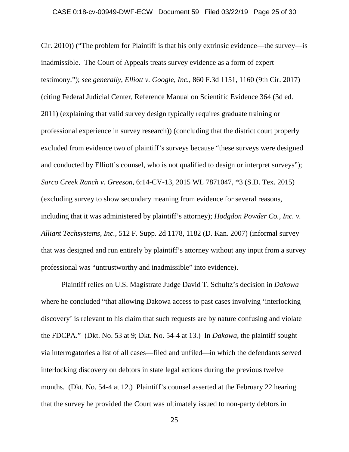Cir. 2010)) ("The problem for Plaintiff is that his only extrinsic evidence—the survey—is inadmissible. The Court of Appeals treats survey evidence as a form of expert testimony."); *see generally*, *Elliott v. Google, Inc.*, 860 F.3d 1151, 1160 (9th Cir. 2017) (citing Federal Judicial Center, Reference Manual on Scientific Evidence 364 (3d ed. 2011) (explaining that valid survey design typically requires graduate training or professional experience in survey research)) (concluding that the district court properly excluded from evidence two of plaintiff's surveys because "these surveys were designed and conducted by Elliott's counsel, who is not qualified to design or interpret surveys"); *Sarco Creek Ranch v. Greeson*, 6:14-CV-13, 2015 WL 7871047, \*3 (S.D. Tex. 2015) (excluding survey to show secondary meaning from evidence for several reasons, including that it was administered by plaintiff's attorney); *Hodgdon Powder Co., Inc. v. Alliant Techsystems, Inc.*, 512 F. Supp. 2d 1178, 1182 (D. Kan. 2007) (informal survey that was designed and run entirely by plaintiff's attorney without any input from a survey professional was "untrustworthy and inadmissible" into evidence).

Plaintiff relies on U.S. Magistrate Judge David T. Schultz's decision in *Dakowa* where he concluded "that allowing Dakowa access to past cases involving 'interlocking discovery' is relevant to his claim that such requests are by nature confusing and violate the FDCPA." (Dkt. No. 53 at 9; Dkt. No. 54-4 at 13.) In *Dakowa*, the plaintiff sought via interrogatories a list of all cases—filed and unfiled—in which the defendants served interlocking discovery on debtors in state legal actions during the previous twelve months. (Dkt. No. 54-4 at 12.) Plaintiff's counsel asserted at the February 22 hearing that the survey he provided the Court was ultimately issued to non-party debtors in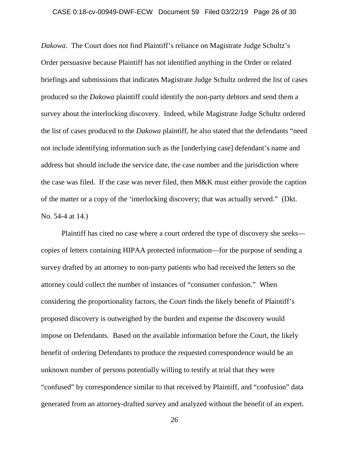### CASE 0:18-cv-00949-DWF-ECW Document 59 Filed 03/22/19 Page 26 of 30

*Dakowa*. The Court does not find Plaintiff's reliance on Magistrate Judge Schultz's Order persuasive because Plaintiff has not identified anything in the Order or related briefings and submissions that indicates Magistrate Judge Schultz ordered the list of cases produced so the *Dakowa* plaintiff could identify the non-party debtors and send them a survey about the interlocking discovery. Indeed, while Magistrate Judge Schultz ordered the list of cases produced to the *Dakowa* plaintiff, he also stated that the defendants "need not include identifying information such as the [underlying case] defendant's name and address but should include the service date, the case number and the jurisdiction where the case was filed. If the case was never filed, then M&K must either provide the caption of the matter or a copy of the 'interlocking discovery; that was actually served." (Dkt. No. 54-4 at 14.)

Plaintiff has cited no case where a court ordered the type of discovery she seeks copies of letters containing HIPAA protected information—for the purpose of sending a survey drafted by an attorney to non-party patients who had received the letters so the attorney could collect the number of instances of "consumer confusion." When considering the proportionality factors, the Court finds the likely benefit of Plaintiff's proposed discovery is outweighed by the burden and expense the discovery would impose on Defendants. Based on the available information before the Court, the likely benefit of ordering Defendants to produce the requested correspondence would be an unknown number of persons potentially willing to testify at trial that they were "confused" by correspondence similar to that received by Plaintiff, and "confusion" data generated from an attorney-drafted survey and analyzed without the benefit of an expert.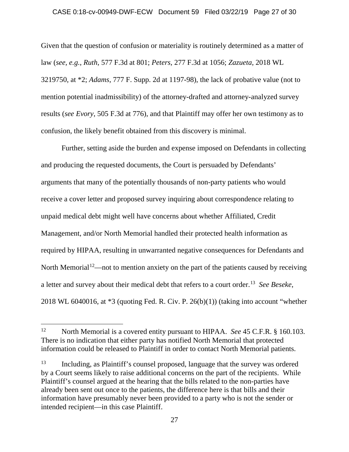### CASE 0:18-cv-00949-DWF-ECW Document 59 Filed 03/22/19 Page 27 of 30

Given that the question of confusion or materiality is routinely determined as a matter of law (*see, e.g.*, *Ruth*, 577 F.3d at 801; *Peters*, 277 F.3d at 1056; *Zazueta*, 2018 WL 3219750, at \*2; *Adams*, 777 F. Supp. 2d at 1197-98), the lack of probative value (not to mention potential inadmissibility) of the attorney-drafted and attorney-analyzed survey results (*see Evory*, 505 F.3d at 776), and that Plaintiff may offer her own testimony as to confusion, the likely benefit obtained from this discovery is minimal.

Further, setting aside the burden and expense imposed on Defendants in collecting and producing the requested documents, the Court is persuaded by Defendants' arguments that many of the potentially thousands of non-party patients who would receive a cover letter and proposed survey inquiring about correspondence relating to unpaid medical debt might well have concerns about whether Affiliated, Credit Management, and/or North Memorial handled their protected health information as required by HIPAA, resulting in unwarranted negative consequences for Defendants and North Memorial<sup>12</sup>—not to mention anxiety on the part of the patients caused by receiving a letter and survey about their medical debt that refers to a court order. 13 *See Beseke*, 2018 WL 6040016, at \*3 (quoting Fed. R. Civ. P. 26(b)(1)) (taking into account "whether

 $\overline{\phantom{a}}$ 

<sup>12</sup> North Memorial is a covered entity pursuant to HIPAA. *See* 45 C.F.R. § 160.103. There is no indication that either party has notified North Memorial that protected information could be released to Plaintiff in order to contact North Memorial patients.

<sup>13</sup> Including, as Plaintiff's counsel proposed, language that the survey was ordered by a Court seems likely to raise additional concerns on the part of the recipients. While Plaintiff's counsel argued at the hearing that the bills related to the non-parties have already been sent out once to the patients, the difference here is that bills and their information have presumably never been provided to a party who is not the sender or intended recipient—in this case Plaintiff.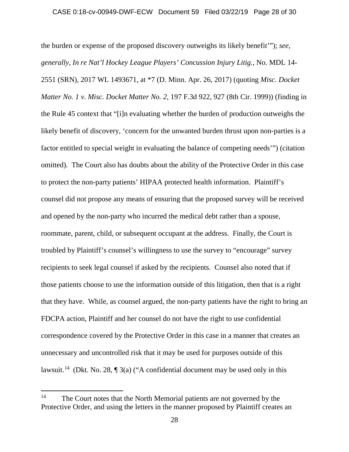the burden or expense of the proposed discovery outweighs its likely benefit'"); *see, generally*, *In re Nat'l Hockey League Players' Concussion Injury Litig.*, No. MDL 14- 2551 (SRN), 2017 WL 1493671, at \*7 (D. Minn. Apr. 26, 2017) (quoting *Misc. Docket Matter No. 1 v. Misc. Docket Matter No. 2*, 197 F.3d 922, 927 (8th Cir. 1999)) (finding in the Rule 45 context that "[i]n evaluating whether the burden of production outweighs the likely benefit of discovery, 'concern for the unwanted burden thrust upon non-parties is a factor entitled to special weight in evaluating the balance of competing needs'") (citation omitted). The Court also has doubts about the ability of the Protective Order in this case to protect the non-party patients' HIPAA protected health information. Plaintiff's counsel did not propose any means of ensuring that the proposed survey will be received and opened by the non-party who incurred the medical debt rather than a spouse, roommate, parent, child, or subsequent occupant at the address. Finally, the Court is troubled by Plaintiff's counsel's willingness to use the survey to "encourage" survey recipients to seek legal counsel if asked by the recipients. Counsel also noted that if those patients choose to use the information outside of this litigation, then that is a right that they have. While, as counsel argued, the non-party patients have the right to bring an FDCPA action, Plaintiff and her counsel do not have the right to use confidential correspondence covered by the Protective Order in this case in a manner that creates an unnecessary and uncontrolled risk that it may be used for purposes outside of this lawsuit.<sup>14</sup> (Dkt. No. 28,  $\P$  3(a) ("A confidential document may be used only in this

l

<sup>&</sup>lt;sup>14</sup> The Court notes that the North Memorial patients are not governed by the Protective Order, and using the letters in the manner proposed by Plaintiff creates an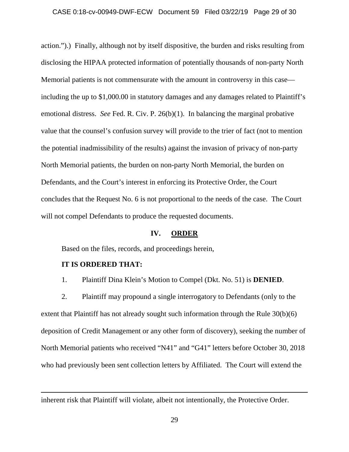### CASE 0:18-cv-00949-DWF-ECW Document 59 Filed 03/22/19 Page 29 of 30

action.").) Finally, although not by itself dispositive, the burden and risks resulting from disclosing the HIPAA protected information of potentially thousands of non-party North Memorial patients is not commensurate with the amount in controversy in this case including the up to \$1,000.00 in statutory damages and any damages related to Plaintiff's emotional distress. *See* Fed. R. Civ. P. 26(b)(1). In balancing the marginal probative value that the counsel's confusion survey will provide to the trier of fact (not to mention the potential inadmissibility of the results) against the invasion of privacy of non-party North Memorial patients, the burden on non-party North Memorial, the burden on Defendants, and the Court's interest in enforcing its Protective Order, the Court concludes that the Request No. 6 is not proportional to the needs of the case. The Court will not compel Defendants to produce the requested documents.

# **IV. ORDER**

Based on the files, records, and proceedings herein,

### **IT IS ORDERED THAT:**

 $\overline{\phantom{a}}$ 

1. Plaintiff Dina Klein's Motion to Compel (Dkt. No. 51) is **DENIED**.

2. Plaintiff may propound a single interrogatory to Defendants (only to the extent that Plaintiff has not already sought such information through the Rule 30(b)(6) deposition of Credit Management or any other form of discovery), seeking the number of North Memorial patients who received "N41" and "G41" letters before October 30, 2018 who had previously been sent collection letters by Affiliated. The Court will extend the

inherent risk that Plaintiff will violate, albeit not intentionally, the Protective Order.